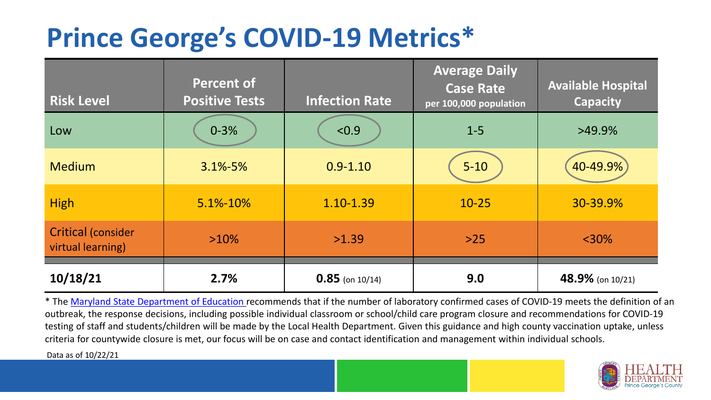## **Prince George's COVID-19 Metrics\***

| <b>Risk Level</b>                              | <b>Percent of</b><br><b>Positive Tests</b> | <b>Infection Rate</b> | <b>Average Daily</b><br><b>Case Rate</b><br>per 100,000 population | <b>Available Hospital</b><br><b>Capacity</b> |
|------------------------------------------------|--------------------------------------------|-----------------------|--------------------------------------------------------------------|----------------------------------------------|
| Low                                            | $0 - 3%$                                   | < 0.9                 | $1 - 5$                                                            | $>49.9\%$                                    |
| <b>Medium</b>                                  | $3.1\% - 5\%$                              | $0.9 - 1.10$          | $5 - 10$                                                           | 40-49.9%                                     |
| <b>High</b>                                    | $5.1\% - 10\%$                             | 1.10-1.39             | $10 - 25$                                                          | 30-39.9%                                     |
| <b>Critical (consider</b><br>virtual learning) | $>10\%$                                    | >1.39                 | $>25$                                                              | $<$ 30%                                      |
| 10/18/21                                       | 2.7%                                       | $0.85$ (on 10/14)     | 9.0                                                                | 48.9% (on 10/21)                             |

\* The [Maryland State Department of Education r](https://earlychildhood.marylandpublicschools.org/system/files/filedepot/3/covid_guidance_full_080420.pdf)ecommends that if the number of laboratory confirmed cases of COVID-19 meets the definition of an outbreak, the response decisions, including possible individual classroom or school/child care program closure and recommendations for COVID-19 testing of staff and students/children will be made by the Local Health Department. Given this guidance and high county vaccination uptake, unless criteria for countywide closure is met, our focus will be on case and contact identification and management within individual schools.

Data as of 10/22/21

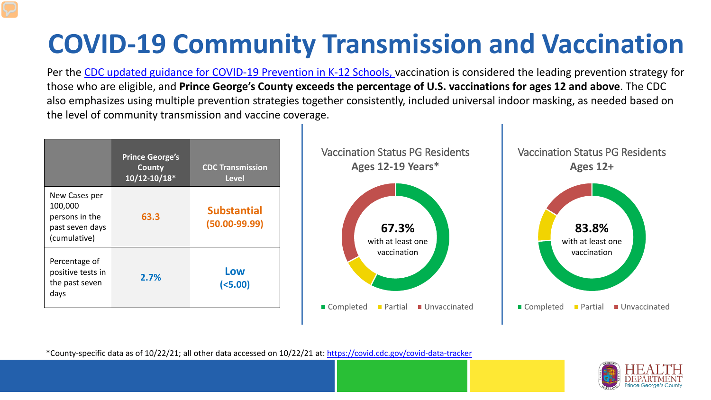# **COVID-19 Community Transmission and Vaccination**

Per the [CDC updated guidance for COVID-19 Prevention in K-12 Schools,](https://www.cdc.gov/coronavirus/2019-ncov/community/schools-childcare/k-12-guidance.html) vaccination is considered the leading prevention strategy for those who are eligible, and **Prince George's County exceeds the percentage of U.S. vaccinations for ages 12 and above**. The CDC also emphasizes using multiple prevention strategies together consistently, included universal indoor masking, as needed based on the level of community transmission and vaccine coverage.



\*County-specific data as of 10/22/21; all other data accessed on 10/22/21 at:<https://covid.cdc.gov/covid-data-tracker>

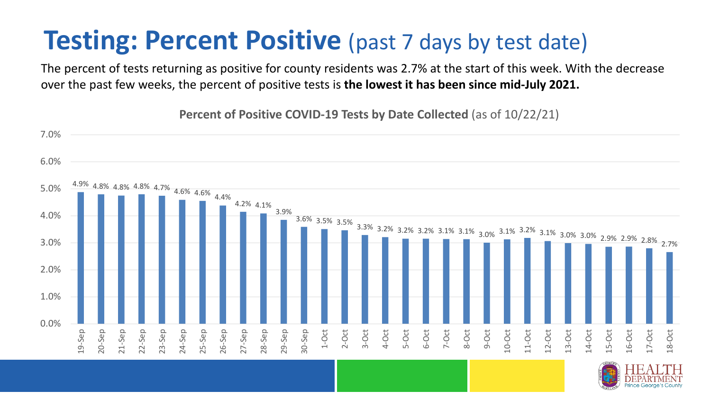### **Testing: Percent Positive** (past 7 days by test date)

The percent of tests returning as positive for county residents was 2.7% at the start of this week. With the decrease over the past few weeks, the percent of positive tests is **the lowest it has been since mid-July 2021.** 



**Percent of Positive COVID-19 Tests by Date Collected** (as of 10/22/21)

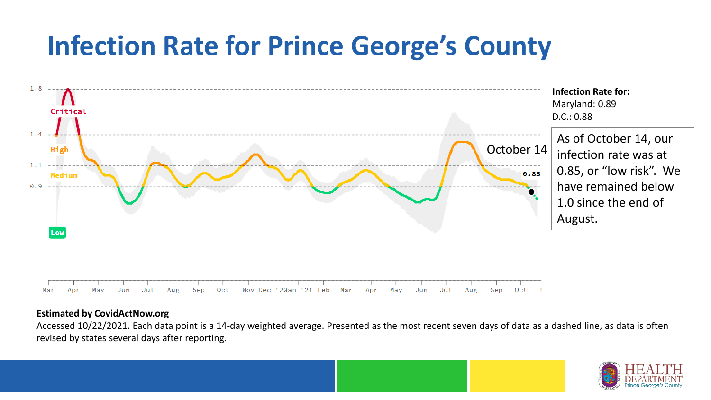## **Infection Rate for Prince George's County**



#### **Estimated by CovidActNow.org**

Accessed 10/22/2021. Each data point is a 14-day weighted average. Presented as the most recent seven days of data as a dashed line, as data is often revised by states several days after reporting.

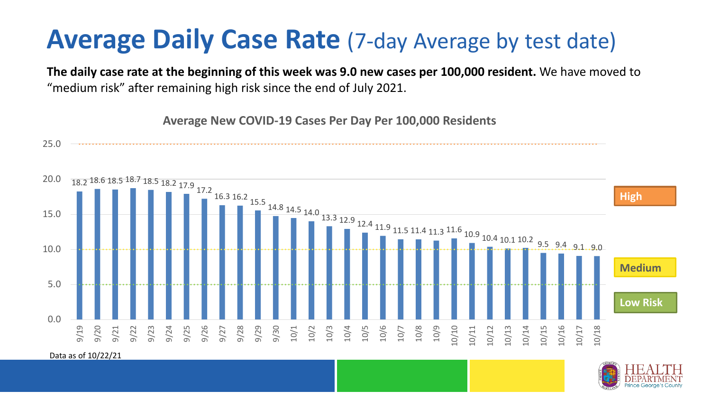### **Average Daily Case Rate** (7-day Average by test date)

**The daily case rate at the beginning of this week was 9.0 new cases per 100,000 resident.** We have moved to "medium risk" after remaining high risk since the end of July 2021.

18.2 18.6 18.5 18.7 18.5 18.2 17.9 17.2 16.3 16.2 15.5 14.8 14.5 14.0 13.3 12.9 12.4 11.9 11.5 11.4 11.3 11.6 10.9 10.4 10.1 10.2 9.5 9.4 9.1 .9.0 0.0 5.0 10.0 15.0 20.0 25.0 9/19 9/20 9/21 9/22 9/23 9/24 9/25 9/26 9/27 9/28 9/29 9/30 10/1 10/2 10/3 10/4 10/5 10/6 10/7 10/8 10/9 10/10 10/11 10/12 10/13 10/14 10/15 10/16 10/17 10/18 **Average New COVID-19 Cases Per Day Per 100,000 Residents Low Risk Medium High**

Data as of 10/22/21